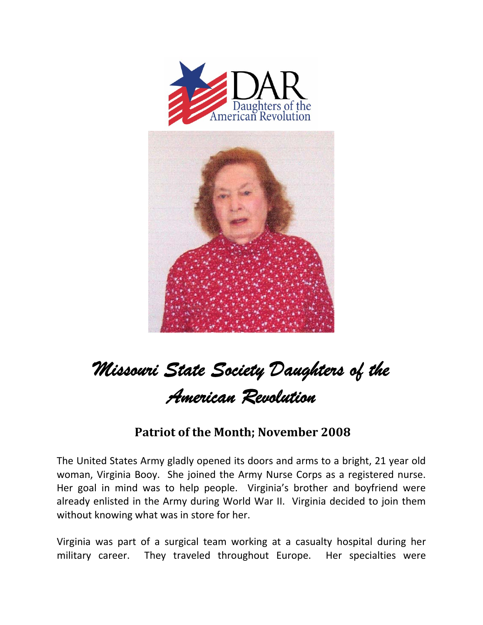



## *Missouri State Society Daughters of the American Revolution*

## **Patriot of the Month; November 2008**

The United States Army gladly opened its doors and arms to a bright, 21 year old woman, Virginia Booy. She joined the Army Nurse Corps as a registered nurse. Her goal in mind was to help people. Virginia's brother and boyfriend were already enlisted in the Army during World War II. Virginia decided to join them without knowing what was in store for her.

Virginia was part of a surgical team working at a casualty hospital during her military career. They traveled throughout Europe. Her specialties were